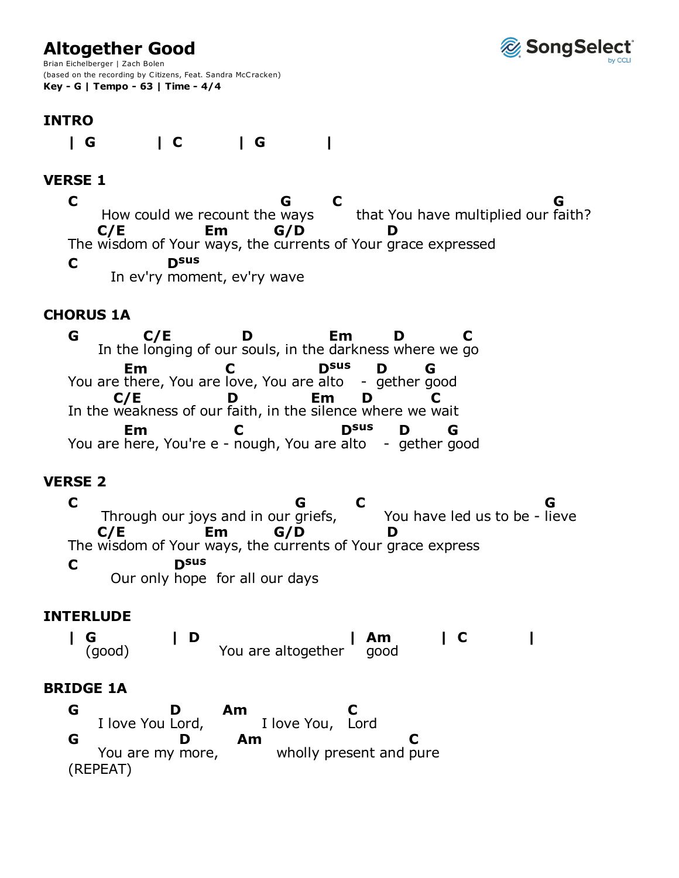# **Altogether Good**



Brian Eichelberger | Zach Bolen (based on the recording by Citizens, Feat. Sandra McCracken) **Key - G | Tempo - 63 | Time - 4/4**

## **INTRO**

**| G | C | G |**

### **VERSE 1**

How could we recount the ways that You have multiplied our The wisdom of Your ways, the currents of Your grace expressed In ev'ry moment, ev'ry wave **C G C** that You have multiplied our faith? **G C/E Em G/D D C Dsus**

#### **CHORUS 1A**

In the longing of our souls, in the darkness where we go You are there, You are love, You are alto -In the weakness of our faith, in the silence where we wait You are here, You're e - nough, You are alto -**G C/E D Em D C Em C** alto gether good **Dsus D G C/E D Em D C Em C** alto gether good **Dsus D G**

#### **VERSE 2**

Through our joys and in our griefs, You have led us to be -The wisdom of Your ways, the currents of Your grace express Our only hope for all our days **C G C** lieve **G C/E Em G/D D C Dsus**

#### **INTERLUDE**

You are altogether **|** (good) **G | D | Am**<br>good **Am | C |**

#### **BRIDGE 1A**

I love You Lord, I love You, You are my more, wholly present and pure (REPEAT) **G D Am** Lord **C G** You are my more, **D Am C**